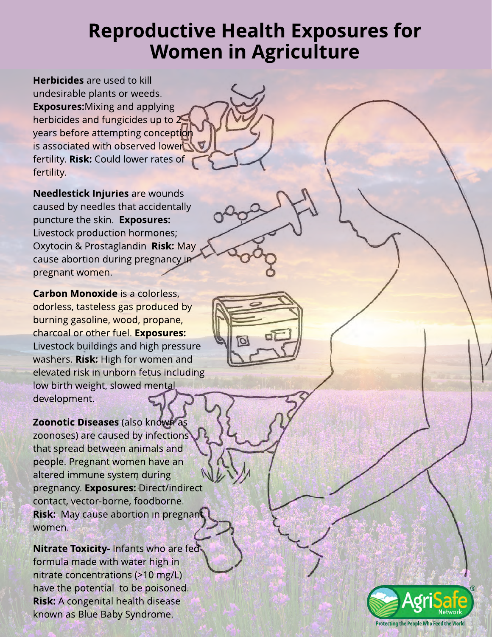## **Reproductive Health Exposures for** Women in Agriculture

Herbicides are used to kill undesirable plants or weeds. Exposures:Mixing and applying herbicides and fungicides up to 2 years before attempting conception is associated with observed lower fertility. Risk: Could lower rates of fertility.

**Needlestick Injuries are wounds** caused by needles that accidentally puncture the skin. **Exposures:** Livestock production hormones; Oxytocin & Prostaglandin Risk: May cause abortion during pregnancy in pregnant women.

Carbon Monoxide is a colorless, odorless, tasteless gas produced by burning gasoline, wood, propane, charcoal or other fuel. Exposures: Livestock buildings and high pressure washers. Risk: High for women and elevated risk in unborn fetus including low birth weight, slowed mental development.

Zoonotic Diseases (also known as zoonoses) are caused by infections that spread between animals and people. Pregnant women have an altered immune system during pregnancy. **Exposures:** Direct/indirect contact, vector-borne, foodborne. Risk: May cause abortion in pregnant women.

Nitrate Toxicity- Infants who are fed formula made with water high in nitrate concentrations (>10 mg/L) have the potential to be poisoned. Risk: A congenital health disease known as Blue Baby Syndrome.